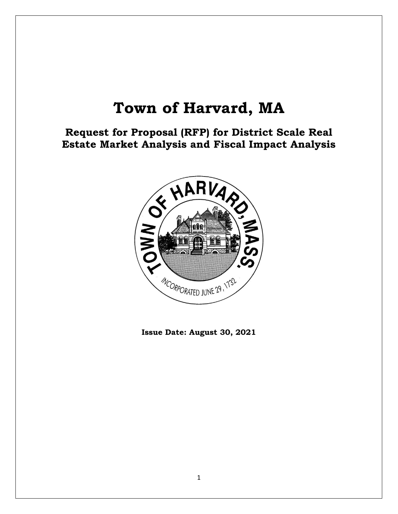# **Town of Harvard, MA**

**Request for Proposal (RFP) for District Scale Real Estate Market Analysis and Fiscal Impact Analysis**



**Issue Date: August 30, 2021**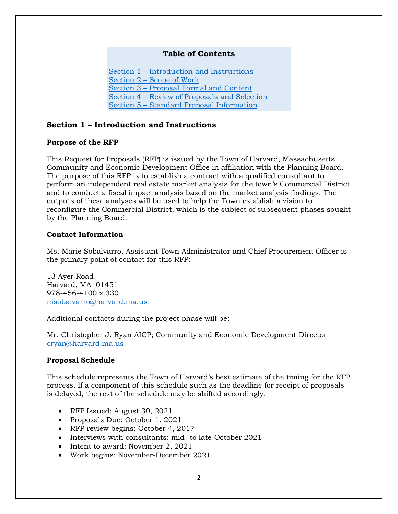# **Table of Contents**

Section 1 – [Introduction and Instructions](#page-1-0) Section 2 – [Scope of Work](#page-2-0) Section 3 – [Proposal Formal and Content](#page-13-0) Section 4 – [Review of Proposals and Selection](#page-14-0) Section 5 – [Standard Proposal Information](#page-16-0)

# <span id="page-1-0"></span>**Section 1 – Introduction and Instructions**

#### **Purpose of the RFP**

This Request for Proposals (RFP) is issued by the Town of Harvard, Massachusetts Community and Economic Development Office in affiliation with the Planning Board. The purpose of this RFP is to establish a contract with a qualified consultant to perform an independent real estate market analysis for the town's Commercial District and to conduct a fiscal impact analysis based on the market analysis findings. The outputs of these analyses will be used to help the Town establish a vision to reconfigure the Commercial District, which is the subject of subsequent phases sought by the Planning Board.

### **Contact Information**

Ms. Marie Sobalvarro, Assistant Town Administrator and Chief Procurement Officer is the primary point of contact for this RFP:

13 Ayer Road Harvard, MA 01451 978-456-4100 x.330 [msobalvarro@harvard.ma.us](mailto:msobalvarro@harvard.ma.us)

Additional contacts during the project phase will be:

Mr. Christopher J. Ryan AICP; Community and Economic Development Director [cryan@harvard.ma.us](mailto:cryan@harvard.ma.us)

# **Proposal Schedule**

This schedule represents the Town of Harvard's best estimate of the timing for the RFP process. If a component of this schedule such as the deadline for receipt of proposals is delayed, the rest of the schedule may be shifted accordingly.

- RFP Issued: August 30, 2021
- Proposals Due: October 1, 2021
- RFP review begins: October 4, 2017
- Interviews with consultants: mid- to late-October 2021
- Intent to award: November 2, 2021
- Work begins: November-December 2021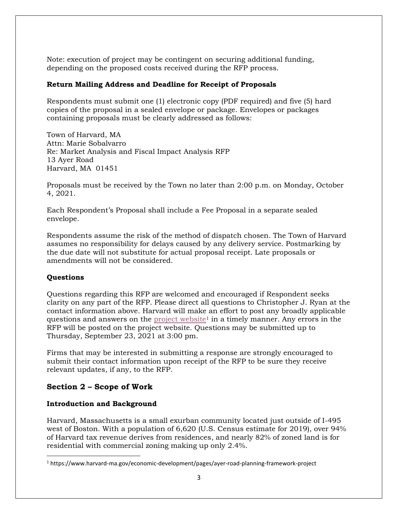Note: execution of project may be contingent on securing additional funding, depending on the proposed costs received during the RFP process.

# **Return Mailing Address and Deadline for Receipt of Proposals**

Respondents must submit one (1) electronic copy (PDF required) and five (5) hard copies of the proposal in a sealed envelope or package. Envelopes or packages containing proposals must be clearly addressed as follows:

Town of Harvard, MA Attn: Marie Sobalvarro Re: Market Analysis and Fiscal Impact Analysis RFP 13 Ayer Road Harvard, MA 01451

Proposals must be received by the Town no later than 2:00 p.m. on Monday, October 4, 2021.

Each Respondent's Proposal shall include a Fee Proposal in a separate sealed envelope.

Respondents assume the risk of the method of dispatch chosen. The Town of Harvard assumes no responsibility for delays caused by any delivery service. Postmarking by the due date will not substitute for actual proposal receipt. Late proposals or amendments will not be considered.

# **Questions**

Questions regarding this RFP are welcomed and encouraged if Respondent seeks clarity on any part of the RFP. Please direct all questions to Christopher J. Ryan at the contact information above. Harvard will make an effort to post any broadly applicable questions and answers on the [project website](https://www.harvard-ma.gov/economic-development/pages/ayer-road-planning-framework-project)<sup>1</sup> in a timely manner. Any errors in the RFP will be posted on the project website. Questions may be submitted up to Thursday, September 23, 2021 at 3:00 pm.

Firms that may be interested in submitting a response are strongly encouraged to submit their contact information upon receipt of the RFP to be sure they receive relevant updates, if any, to the RFP.

# <span id="page-2-0"></span>**Section 2 – Scope of Work**

#### **Introduction and Background**

Harvard, Massachusetts is a small exurban community located just outside of I-495 west of Boston. With a population of 6,620 (U.S. Census estimate for 2019), over 94% of Harvard tax revenue derives from residences, and nearly 82% of zoned land is for residential with commercial zoning making up only 2.4%.

<sup>1</sup> https://www.harvard-ma.gov/economic-development/pages/ayer-road-planning-framework-project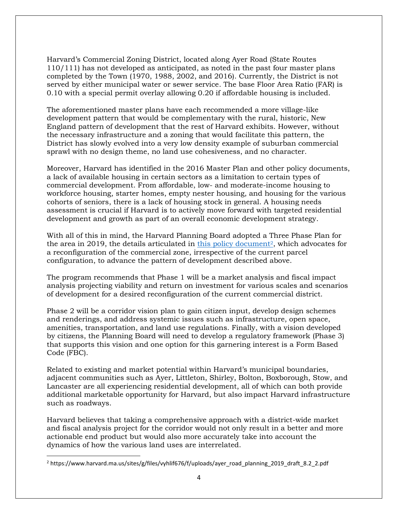Harvard's Commercial Zoning District, located along Ayer Road (State Routes 110/111) has not developed as anticipated, as noted in the past four master plans completed by the Town (1970, 1988, 2002, and 2016). Currently, the District is not served by either municipal water or sewer service. The base Floor Area Ratio (FAR) is 0.10 with a special permit overlay allowing 0.20 if affordable housing is included.

The aforementioned master plans have each recommended a more village-like development pattern that would be complementary with the rural, historic, New England pattern of development that the rest of Harvard exhibits. However, without the necessary infrastructure and a zoning that would facilitate this pattern, the District has slowly evolved into a very low density example of suburban commercial sprawl with no design theme, no land use cohesiveness, and no character.

Moreover, Harvard has identified in the 2016 Master Plan and other policy documents, a lack of available housing in certain sectors as a limitation to certain types of commercial development. From affordable, low- and moderate-income housing to workforce housing, starter homes, empty nester housing, and housing for the various cohorts of seniors, there is a lack of housing stock in general. A housing needs assessment is crucial if Harvard is to actively move forward with targeted residential development and growth as part of an overall economic development strategy.

With all of this in mind, the Harvard Planning Board adopted a Three Phase Plan for the area in 2019, the details articulated in [this policy document](https://www.harvard.ma.us/sites/g/files/vyhlif676/f/uploads/ayer_road_planning_2019_version_9.0.pdf)<sup>2</sup>, which advocates for a reconfiguration of the commercial zone, irrespective of the current parcel configuration, to advance the pattern of development described above.

The program recommends that Phase 1 will be a market analysis and fiscal impact analysis projecting viability and return on investment for various scales and scenarios of development for a desired reconfiguration of the current commercial district.

Phase 2 will be a corridor vision plan to gain citizen input, develop design schemes and renderings, and address systemic issues such as infrastructure, open space, amenities, transportation, and land use regulations. Finally, with a vision developed by citizens, the Planning Board will need to develop a regulatory framework (Phase 3) that supports this vision and one option for this garnering interest is a Form Based Code (FBC).

Related to existing and market potential within Harvard's municipal boundaries, adjacent communities such as Ayer, Littleton, Shirley, Bolton, Boxborough, Stow, and Lancaster are all experiencing residential development, all of which can both provide additional marketable opportunity for Harvard, but also impact Harvard infrastructure such as roadways.

Harvard believes that taking a comprehensive approach with a district-wide market and fiscal analysis project for the corridor would not only result in a better and more actionable end product but would also more accurately take into account the dynamics of how the various land uses are interrelated.

<sup>2</sup> https://www.harvard.ma.us/sites/g/files/vyhlif676/f/uploads/ayer\_road\_planning\_2019\_draft\_8.2\_2.pdf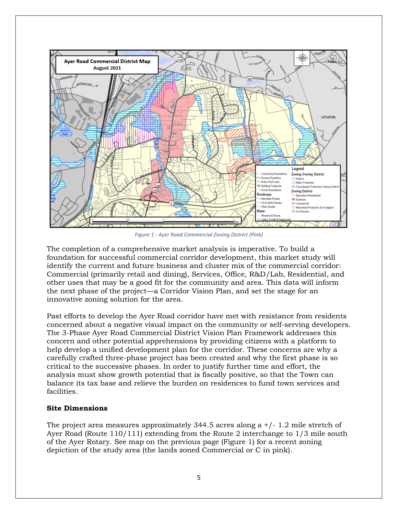

*Figure 1 - Ayer Road Commercial Zoning District (Pink)*

The completion of a comprehensive market analysis is imperative. To build a foundation for successful commercial corridor development, this market study will identify the current and future business and cluster mix of the commercial corridor: Commercial (primarily retail and dining), Services, Office, R&D/Lab, Residential, and other uses that may be a good fit for the community and area. This data will inform the next phase of the project—a Corridor Vision Plan, and set the stage for an innovative zoning solution for the area.

Past efforts to develop the Ayer Road corridor have met with resistance from residents concerned about a negative visual impact on the community or self-serving developers. The 3-Phase Ayer Road Commercial District Vision Plan Framework addresses this concern and other potential apprehensions by providing citizens with a platform to help develop a unified development plan for the corridor. These concerns are why a carefully crafted three-phase project has been created and why the first phase is so critical to the successive phases. In order to justify further time and effort, the analysis must show growth potential that is fiscally positive, so that the Town can balance its tax base and relieve the burden on residences to fund town services and facilities.

#### **Site Dimensions**

The project area measures approximately 344.5 acres along a +/- 1.2 mile stretch of Ayer Road (Route 110/111) extending from the Route 2 interchange to 1/3 mile south of the Ayer Rotary. See map on the previous page (Figure 1) for a recent zoning depiction of the study area (the lands zoned Commercial or C in pink).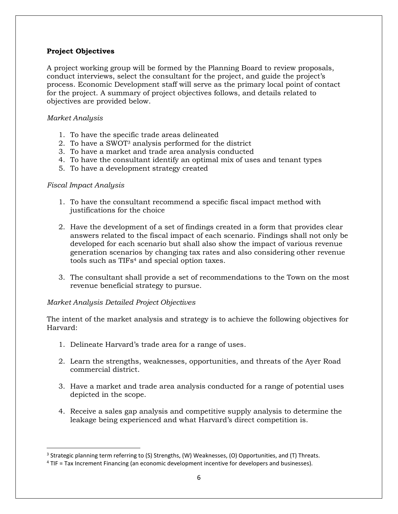# **Project Objectives**

A project working group will be formed by the Planning Board to review proposals, conduct interviews, select the consultant for the project, and guide the project's process. Economic Development staff will serve as the primary local point of contact for the project. A summary of project objectives follows, and details related to objectives are provided below.

# *Market Analysis*

- 1. To have the specific trade areas delineated
- 2. To have a SWOT<sup>3</sup> analysis performed for the district
- 3. To have a market and trade area analysis conducted
- 4. To have the consultant identify an optimal mix of uses and tenant types
- 5. To have a development strategy created

#### *Fiscal Impact Analysis*

- 1. To have the consultant recommend a specific fiscal impact method with justifications for the choice
- 2. Have the development of a set of findings created in a form that provides clear answers related to the fiscal impact of each scenario. Findings shall not only be developed for each scenario but shall also show the impact of various revenue generation scenarios by changing tax rates and also considering other revenue tools such as TIFs<sup>4</sup> and special option taxes.
- 3. The consultant shall provide a set of recommendations to the Town on the most revenue beneficial strategy to pursue.

# *Market Analysis Detailed Project Objectives*

The intent of the market analysis and strategy is to achieve the following objectives for Harvard:

- 1. Delineate Harvard's trade area for a range of uses.
- 2. Learn the strengths, weaknesses, opportunities, and threats of the Ayer Road commercial district.
- 3. Have a market and trade area analysis conducted for a range of potential uses depicted in the scope.
- 4. Receive a sales gap analysis and competitive supply analysis to determine the leakage being experienced and what Harvard's direct competition is.

<sup>&</sup>lt;sup>3</sup> Strategic planning term referring to (S) Strengths, (W) Weaknesses, (O) Opportunities, and (T) Threats.

<sup>4</sup> TIF = Tax Increment Financing (an economic development incentive for developers and businesses).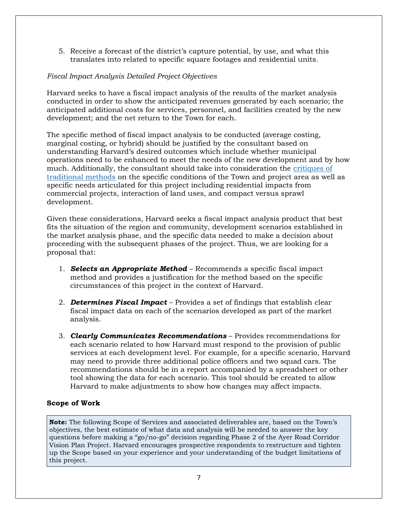5. Receive a forecast of the district's capture potential, by use, and what this translates into related to specific square footages and residential units.

# *Fiscal Impact Analysis Detailed Project Objectives*

Harvard seeks to have a fiscal impact analysis of the results of the market analysis conducted in order to show the anticipated revenues generated by each scenario; the anticipated additional costs for services, personnel, and facilities created by the new development; and the net return to the Town for each.

The specific method of fiscal impact analysis to be conducted (average costing, marginal costing, or hybrid) should be justified by the consultant based on understanding Harvard's desired outcomes which include whether municipal operations need to be enhanced to meet the needs of the new development and by how much. Additionally, the consultant should take into consideration the [critiques of](https://www.google.com/url?sa=t&rct=j&q=&esrc=s&source=web&cd=&ved=2ahUKEwj1nMCJ-o_yAhWgF1kFHf-GAfUQFjAAegQIAxAD&url=https%3A%2F%2Fwww.lincolninst.edu%2Fsites%2Fdefault%2Ffiles%2Fpubfiles%2Fkotval-wp06zk2.pdf&usg=AOvVaw2QUAONOZhrUilTGqn_q9Wj)  [traditional methods](https://www.google.com/url?sa=t&rct=j&q=&esrc=s&source=web&cd=&ved=2ahUKEwj1nMCJ-o_yAhWgF1kFHf-GAfUQFjAAegQIAxAD&url=https%3A%2F%2Fwww.lincolninst.edu%2Fsites%2Fdefault%2Ffiles%2Fpubfiles%2Fkotval-wp06zk2.pdf&usg=AOvVaw2QUAONOZhrUilTGqn_q9Wj) on the specific conditions of the Town and project area as well as specific needs articulated for this project including residential impacts from commercial projects, interaction of land uses, and compact versus sprawl development.

Given these considerations, Harvard seeks a fiscal impact analysis product that best fits the situation of the region and community, development scenarios established in the market analysis phase, and the specific data needed to make a decision about proceeding with the subsequent phases of the project. Thus, we are looking for a proposal that:

- 1. *Selects an Appropriate Method*  Recommends a specific fiscal impact method and provides a justification for the method based on the specific circumstances of this project in the context of Harvard.
- 2. *Determines Fiscal Impact* Provides a set of findings that establish clear fiscal impact data on each of the scenarios developed as part of the market analysis.
- 3. *Clearly Communicates Recommendations*  Provides recommendations for each scenario related to how Harvard must respond to the provision of public services at each development level. For example, for a specific scenario, Harvard may need to provide three additional police officers and two squad cars. The recommendations should be in a report accompanied by a spreadsheet or other tool showing the data for each scenario. This tool should be created to allow Harvard to make adjustments to show how changes may affect impacts.

# **Scope of Work**

**Note:** The following Scope of Services and associated deliverables are, based on the Town's objectives, the best estimate of what data and analysis will be needed to answer the key questions before making a "go/no-go" decision regarding Phase 2 of the Ayer Road Corridor Vision Plan Project. Harvard encourages prospective respondents to restructure and tighten up the Scope based on your experience and your understanding of the budget limitations of this project.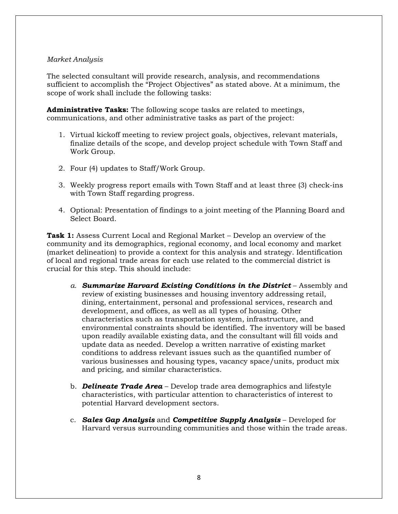### *Market Analysis*

The selected consultant will provide research, analysis, and recommendations sufficient to accomplish the "Project Objectives" as stated above. At a minimum, the scope of work shall include the following tasks:

**Administrative Tasks:** The following scope tasks are related to meetings, communications, and other administrative tasks as part of the project:

- 1. Virtual kickoff meeting to review project goals, objectives, relevant materials, finalize details of the scope, and develop project schedule with Town Staff and Work Group.
- 2. Four (4) updates to Staff/Work Group.
- 3. Weekly progress report emails with Town Staff and at least three (3) check-ins with Town Staff regarding progress.
- 4. Optional: Presentation of findings to a joint meeting of the Planning Board and Select Board.

**Task 1:** Assess Current Local and Regional Market – Develop an overview of the community and its demographics, regional economy, and local economy and market (market delineation) to provide a context for this analysis and strategy. Identification of local and regional trade areas for each use related to the commercial district is crucial for this step. This should include:

- *a. Summarize Harvard Existing Conditions in the District* Assembly and review of existing businesses and housing inventory addressing retail, dining, entertainment, personal and professional services, research and development, and offices, as well as all types of housing. Other characteristics such as transportation system, infrastructure, and environmental constraints should be identified. The inventory will be based upon readily available existing data, and the consultant will fill voids and update data as needed. Develop a written narrative of existing market conditions to address relevant issues such as the quantified number of various businesses and housing types, vacancy space/units, product mix and pricing, and similar characteristics.
- b. *Delineate Trade Area* Develop trade area demographics and lifestyle characteristics, with particular attention to characteristics of interest to potential Harvard development sectors.
- c. *Sales Gap Analysis* and *Competitive Supply Analysis* Developed for Harvard versus surrounding communities and those within the trade areas.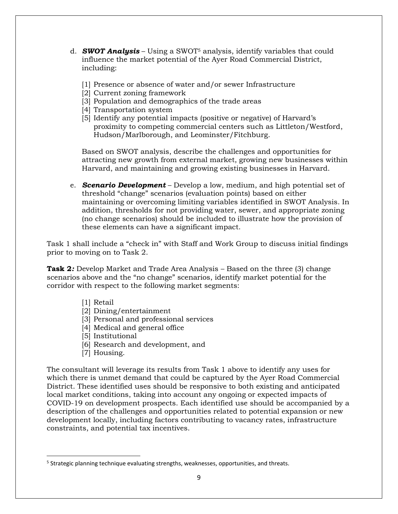- d. *SWOT Analysis* Using a SWOT<sup>5</sup> analysis, identify variables that could influence the market potential of the Ayer Road Commercial District, including:
	- [1] Presence or absence of water and/or sewer Infrastructure
	- [2] Current zoning framework
	- [3] Population and demographics of the trade areas
	- [4] Transportation system
	- [5] Identify any potential impacts (positive or negative) of Harvard's proximity to competing commercial centers such as Littleton/Westford, Hudson/Marlborough, and Leominster/Fitchburg.

Based on SWOT analysis, describe the challenges and opportunities for attracting new growth from external market, growing new businesses within Harvard, and maintaining and growing existing businesses in Harvard.

e. *Scenario Development* – Develop a low, medium, and high potential set of threshold "change" scenarios (evaluation points) based on either maintaining or overcoming limiting variables identified in SWOT Analysis. In addition, thresholds for not providing water, sewer, and appropriate zoning (no change scenarios) should be included to illustrate how the provision of these elements can have a significant impact.

Task 1 shall include a "check in" with Staff and Work Group to discuss initial findings prior to moving on to Task 2.

**Task 2***:* Develop Market and Trade Area Analysis – Based on the three (3) change scenarios above and the "no change" scenarios, identify market potential for the corridor with respect to the following market segments:

- [1] Retail
- [2] Dining/entertainment
- [3] Personal and professional services
- [4] Medical and general office
- [5] Institutional
- [6] Research and development, and
- [7] Housing.

The consultant will leverage its results from Task 1 above to identify any uses for which there is unmet demand that could be captured by the Ayer Road Commercial District. These identified uses should be responsive to both existing and anticipated local market conditions, taking into account any ongoing or expected impacts of COVID-19 on development prospects. Each identified use should be accompanied by a description of the challenges and opportunities related to potential expansion or new development locally, including factors contributing to vacancy rates, infrastructure constraints, and potential tax incentives.

<sup>&</sup>lt;sup>5</sup> Strategic planning technique evaluating strengths, weaknesses, opportunities, and threats.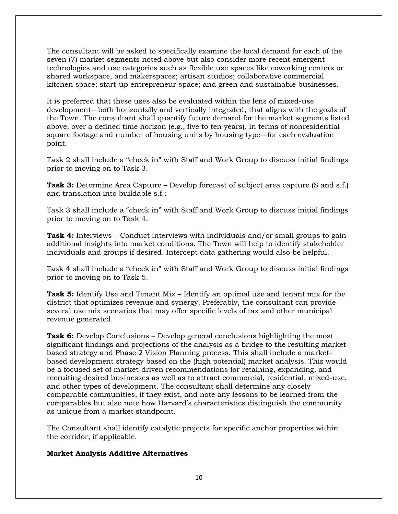The consultant will be asked to specifically examine the local demand for each of the seven (7) market segments noted above but also consider more recent emergent technologies and use categories such as flexible use spaces like coworking centers or shared workspace, and makerspaces; artisan studios; collaborative commercial kitchen space; start-up entrepreneur space; and green and sustainable businesses.

It is preferred that these uses also be evaluated within the lens of mixed-use development—both horizontally and vertically integrated, that aligns with the goals of the Town. The consultant shall quantify future demand for the market segments listed above, over a defined time horizon (e.g., five to ten years), in terms of nonresidential square footage and number of housing units by housing type—for each evaluation point.

Task 2 shall include a "check in" with Staff and Work Group to discuss initial findings prior to moving on to Task 3.

**Task 3:** Determine Area Capture – Develop forecast of subject area capture (\$ and s.f.) and translation into buildable s.f.;

Task 3 shall include a "check in" with Staff and Work Group to discuss initial findings prior to moving on to Task 4.

**Task 4:** Interviews – Conduct interviews with individuals and/or small groups to gain additional insights into market conditions. The Town will help to identify stakeholder individuals and groups if desired. Intercept data gathering would also be helpful.

Task 4 shall include a "check in" with Staff and Work Group to discuss initial findings prior to moving on to Task 5.

**Task 5:** Identify Use and Tenant Mix – Identify an optimal use and tenant mix for the district that optimizes revenue and synergy. Preferably, the consultant can provide several use mix scenarios that may offer specific levels of tax and other municipal revenue generated.

**Task 6:** Develop Conclusions – Develop general conclusions highlighting the most significant findings and projections of the analysis as a bridge to the resulting marketbased strategy and Phase 2 Vision Planning process. This shall include a marketbased development strategy based on the (high potential) market analysis. This would be a focused set of market-driven recommendations for retaining, expanding, and recruiting desired businesses as well as to attract commercial, residential, mixed-use, and other types of development. The consultant shall determine any closely comparable communities, if they exist, and note any lessons to be learned from the comparables but also note how Harvard's characteristics distinguish the community as unique from a market standpoint.

The Consultant shall identify catalytic projects for specific anchor properties within the corridor, if applicable.

#### **Market Analysis Additive Alternatives**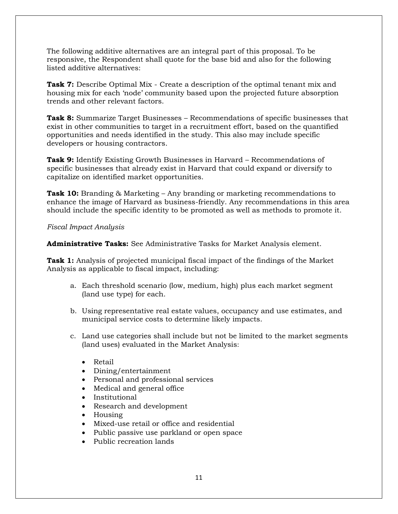The following additive alternatives are an integral part of this proposal. To be responsive, the Respondent shall quote for the base bid and also for the following listed additive alternatives:

**Task 7:** Describe Optimal Mix - Create a description of the optimal tenant mix and housing mix for each 'node' community based upon the projected future absorption trends and other relevant factors.

**Task 8:** Summarize Target Businesses – Recommendations of specific businesses that exist in other communities to target in a recruitment effort, based on the quantified opportunities and needs identified in the study. This also may include specific developers or housing contractors.

**Task 9:** Identify Existing Growth Businesses in Harvard – Recommendations of specific businesses that already exist in Harvard that could expand or diversify to capitalize on identified market opportunities.

**Task 10:** Branding & Marketing – Any branding or marketing recommendations to enhance the image of Harvard as business-friendly. Any recommendations in this area should include the specific identity to be promoted as well as methods to promote it.

#### *Fiscal Impact Analysis*

**Administrative Tasks:** See Administrative Tasks for Market Analysis element.

**Task 1:** Analysis of projected municipal fiscal impact of the findings of the Market Analysis as applicable to fiscal impact, including:

- a. Each threshold scenario (low, medium, high) plus each market segment (land use type) for each.
- b. Using representative real estate values, occupancy and use estimates, and municipal service costs to determine likely impacts.
- c. Land use categories shall include but not be limited to the market segments (land uses) evaluated in the Market Analysis:
	- Retail
	- Dining/entertainment
	- Personal and professional services
	- Medical and general office
	- **Institutional**
	- Research and development
	- Housing
	- Mixed-use retail or office and residential
	- Public passive use parkland or open space
	- Public recreation lands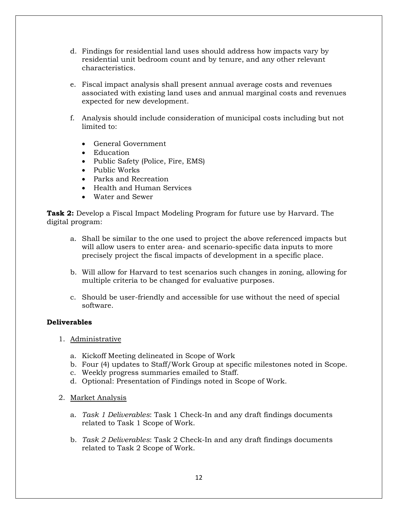- d. Findings for residential land uses should address how impacts vary by residential unit bedroom count and by tenure, and any other relevant characteristics.
- e. Fiscal impact analysis shall present annual average costs and revenues associated with existing land uses and annual marginal costs and revenues expected for new development.
- f. Analysis should include consideration of municipal costs including but not limited to:
	- General Government
	- Education
	- Public Safety (Police, Fire, EMS)
	- Public Works
	- Parks and Recreation
	- Health and Human Services
	- Water and Sewer

**Task 2:** Develop a Fiscal Impact Modeling Program for future use by Harvard. The digital program:

- a. Shall be similar to the one used to project the above referenced impacts but will allow users to enter area- and scenario-specific data inputs to more precisely project the fiscal impacts of development in a specific place.
- b. Will allow for Harvard to test scenarios such changes in zoning, allowing for multiple criteria to be changed for evaluative purposes.
- c. Should be user-friendly and accessible for use without the need of special software.

#### **Deliverables**

- 1. Administrative
	- a. Kickoff Meeting delineated in Scope of Work
	- b. Four (4) updates to Staff/Work Group at specific milestones noted in Scope.
	- c. Weekly progress summaries emailed to Staff.
	- d. Optional: Presentation of Findings noted in Scope of Work.
- 2. Market Analysis
	- a. *Task 1 Deliverables*: Task 1 Check-In and any draft findings documents related to Task 1 Scope of Work.
	- b. *Task 2 Deliverables*: Task 2 Check-In and any draft findings documents related to Task 2 Scope of Work.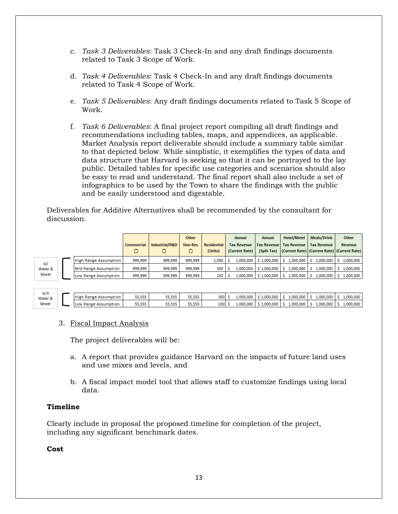- c. *Task 3 Deliverables*: Task 3 Check-In and any draft findings documents related to Task 3 Scope of Work.
- d. *Task 4 Deliverables*: Task 4 Check-In and any draft findings documents related to Task 4 Scope of Work.
- e. *Task 5 Deliverables*: Any draft findings documents related to Task 5 Scope of Work.
- f. *Task 6 Deliverables*: A final project report compiling all draft findings and recommendations including tables, maps, and appendices, as applicable. Market Analysis report deliverable should include a summary table similar to that depicted below. While simplistic, it exemplifies the types of data and data structure that Harvard is seeking so that it can be portrayed to the lay public. Detailed tables for specific use categories and scenarios should also be easy to read and understand. The final report shall also include a set of infographics to be used by the Town to share the findings with the public and be easily understood and digestable.

Deliverables for Additive Alternatives shall be recommended by the consultant for discussion.

|                        |  |                              | <b>Commercial</b> | Industrial/R&D | Other<br><b>Non-Res</b> | <b>Residential</b><br>(Units) | Annual<br><b>Tax Revenue</b><br>(Current Rate) | <b>Annual</b><br><b>Tax Revenue</b> | <b>Hotel/Motel</b><br><b>Tax Revenue</b> | <b>Meals/Drink</b><br><b>Tax Revenue</b><br>(Split Tax)   (Current Rate)   (Current Rate)   (Current Rate) | Other<br><b>Revenue</b> |
|------------------------|--|------------------------------|-------------------|----------------|-------------------------|-------------------------------|------------------------------------------------|-------------------------------------|------------------------------------------|------------------------------------------------------------------------------------------------------------|-------------------------|
|                        |  | <b>High Range Assumption</b> | 999,999           | 999,999        | 999,999                 | 1,000                         | 1,000,000                                      | \$1,000,000                         | 1,000,000                                | 1,000,000                                                                                                  | 1,000,000               |
| w/<br>Water &<br>Sewer |  | Mid Range Assumption         | 999,999           | 999,999        | 999,999                 | 500                           | 1,000,000                                      | \$1,000,000                         | 1,000,000                                | 000,000.1                                                                                                  | 1,000,000               |
|                        |  | Low Range Assumption         | 999,999           | 999,999        | 999,999                 | 250                           | 1,000,000                                      | \$1,000,000                         | 1,000,000                                | 1,000,000<br>s.                                                                                            | 1,000,000               |
|                        |  |                              |                   |                |                         |                               |                                                |                                     |                                          |                                                                                                            |                         |

#### $W$ /o Water & Sewer

| <b>High Range Assumption</b> | 55,555 | 55,555 | 55,555 |  | 1,000,000   \$ 1,000,000      | $1,000,000$ S   | $1,000,000$   S | 1,000,000 |
|------------------------------|--------|--------|--------|--|-------------------------------|-----------------|-----------------|-----------|
| Low Range Assumption         | 55,555 | 55,555 | 55.555 |  | 1,000,000   \$ 1,000,000   \$ | $1,000,000$   S | $1,000,000$   S | 1,000,000 |
|                              |        |        |        |  |                               |                 |                 |           |

# 3. Fiscal Impact Analysis

The project deliverables will be:

- a. A report that provides guidance Harvard on the impacts of future land uses and use mixes and levels, and
- b. A fiscal impact model tool that allows staff to customize findings using local data.

# **Timeline**

Clearly include in proposal the proposed timeline for completion of the project, including any significant benchmark dates.

**Cost**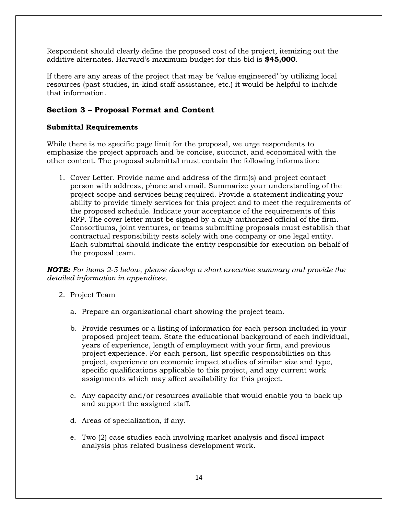Respondent should clearly define the proposed cost of the project, itemizing out the additive alternates. Harvard's maximum budget for this bid is **\$45,000**.

If there are any areas of the project that may be 'value engineered' by utilizing local resources (past studies, in-kind staff assistance, etc.) it would be helpful to include that information.

# <span id="page-13-0"></span>**Section 3 – Proposal Format and Content**

### **Submittal Requirements**

While there is no specific page limit for the proposal, we urge respondents to emphasize the project approach and be concise, succinct, and economical with the other content. The proposal submittal must contain the following information:

1. Cover Letter. Provide name and address of the firm(s) and project contact person with address, phone and email. Summarize your understanding of the project scope and services being required. Provide a statement indicating your ability to provide timely services for this project and to meet the requirements of the proposed schedule. Indicate your acceptance of the requirements of this RFP. The cover letter must be signed by a duly authorized official of the firm. Consortiums, joint ventures, or teams submitting proposals must establish that contractual responsibility rests solely with one company or one legal entity. Each submittal should indicate the entity responsible for execution on behalf of the proposal team.

*NOTE: For items 2-5 below, please develop a short executive summary and provide the detailed information in appendices.*

- 2. Project Team
	- a. Prepare an organizational chart showing the project team.
	- b. Provide resumes or a listing of information for each person included in your proposed project team. State the educational background of each individual, years of experience, length of employment with your firm, and previous project experience. For each person, list specific responsibilities on this project, experience on economic impact studies of similar size and type, specific qualifications applicable to this project, and any current work assignments which may affect availability for this project.
	- c. Any capacity and/or resources available that would enable you to back up and support the assigned staff.
	- d. Areas of specialization, if any.
	- e. Two (2) case studies each involving market analysis and fiscal impact analysis plus related business development work.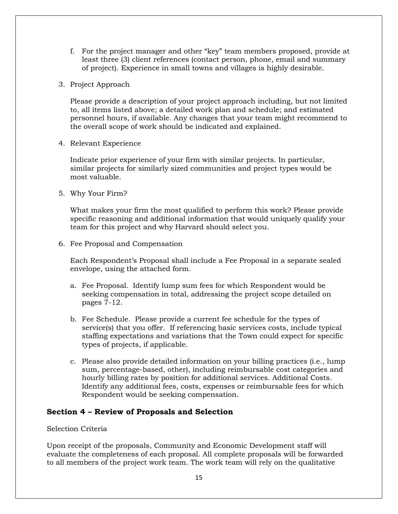- f. For the project manager and other "key" team members proposed, provide at least three (3) client references (contact person, phone, email and summary of project). Experience in small towns and villages is highly desirable.
- 3. Project Approach

Please provide a description of your project approach including, but not limited to, all items listed above; a detailed work plan and schedule; and estimated personnel hours, if available. Any changes that your team might recommend to the overall scope of work should be indicated and explained.

4. Relevant Experience

Indicate prior experience of your firm with similar projects. In particular, similar projects for similarly sized communities and project types would be most valuable.

5. Why Your Firm?

What makes your firm the most qualified to perform this work? Please provide specific reasoning and additional information that would uniquely qualify your team for this project and why Harvard should select you.

6. Fee Proposal and Compensation

Each Respondent's Proposal shall include a Fee Proposal in a separate sealed envelope, using the attached form.

- a. Fee Proposal. Identify lump sum fees for which Respondent would be seeking compensation in total, addressing the project scope detailed on pages 7-12.
- b. Fee Schedule. Please provide a current fee schedule for the types of service(s) that you offer. If referencing basic services costs, include typical staffing expectations and variations that the Town could expect for specific types of projects, if applicable.
- c. Please also provide detailed information on your billing practices (i.e., lump sum, percentage-based, other), including reimbursable cost categories and hourly billing rates by position for additional services. Additional Costs. Identify any additional fees, costs, expenses or reimbursable fees for which Respondent would be seeking compensation.

# <span id="page-14-0"></span>**Section 4 – Review of Proposals and Selection**

#### Selection Criteria

Upon receipt of the proposals, Community and Economic Development staff will evaluate the completeness of each proposal. All complete proposals will be forwarded to all members of the project work team. The work team will rely on the qualitative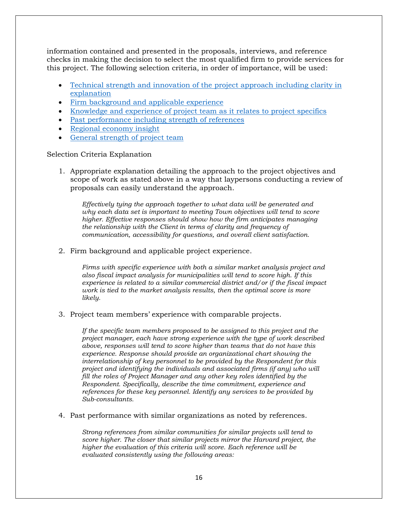information contained and presented in the proposals, interviews, and reference checks in making the decision to select the most qualified firm to provide services for this project. The following selection criteria, in order of importance, will be used:

- [Technical strength and innovation of the project approach](#page-15-0) including clarity in [explanation](#page-15-0)
- [Firm background and applicable experience](#page-15-1)
- Knowledge and experience of project team [as it relates to project specifics](#page-15-2)
- [Past performance including strength of references](#page-15-3)
- Regional [economy insight](#page-16-1)
- [General strength of project team](#page-16-2)

Selection Criteria Explanation

<span id="page-15-0"></span>1. Appropriate explanation detailing the approach to the project objectives and scope of work as stated above in a way that laypersons conducting a review of proposals can easily understand the approach.

*Effectively tying the approach together to what data will be generated and why each data set is important to meeting Town objectives will tend to score higher. Effective responses should show how the firm anticipates managing the relationship with the Client in terms of clarity and frequency of communication, accessibility for questions, and overall client satisfaction.*

<span id="page-15-1"></span>2. Firm background and applicable project experience.

*Firms with specific experience with both a similar market analysis project and also fiscal impact analysis for municipalities will tend to score high. If this experience is related to a similar commercial district and/or if the fiscal impact work is tied to the market analysis results, then the optimal score is more likely.*

<span id="page-15-2"></span>3. Project team members' experience with comparable projects.

*If the specific team members proposed to be assigned to this project and the project manager, each have strong experience with the type of work described above, responses will tend to score higher than teams that do not have this experience. Response should provide an organizational chart showing the interrelationship of key personnel to be provided by the Respondent for this project and identifying the individuals and associated firms (if any) who will fill the roles of Project Manager and any other key roles identified by the Respondent. Specifically, describe the time commitment, experience and references for these key personnel. Identify any services to be provided by Sub-consultants.*

<span id="page-15-3"></span>4. Past performance with similar organizations as noted by references.

*Strong references from similar communities for similar projects will tend to score higher. The closer that similar projects mirror the Harvard project, the higher the evaluation of this criteria will score. Each reference will be evaluated consistently using the following areas:*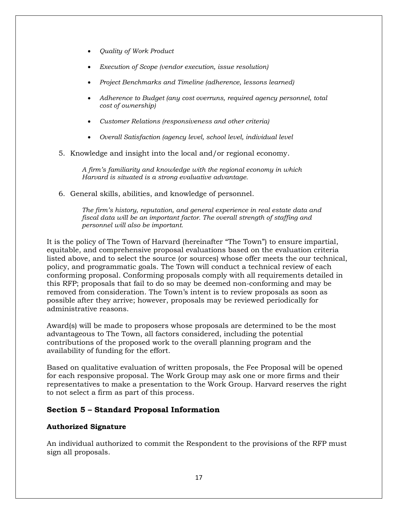- *Quality of Work Product*
- *Execution of Scope (vendor execution, issue resolution)*
- *Project Benchmarks and Timeline (adherence, lessons learned)*
- *Adherence to Budget (any cost overruns, required agency personnel, total cost of ownership)*
- *Customer Relations (responsiveness and other criteria)*
- *Overall Satisfaction (agency level, school level, individual level*
- <span id="page-16-1"></span>5. Knowledge and insight into the local and/or regional economy.

*A firm's familiarity and knowledge with the regional economy in which Harvard is situated is a strong evaluative advantage.*

<span id="page-16-2"></span>6. General skills, abilities, and knowledge of personnel.

*The firm's history, reputation, and general experience in real estate data and fiscal data will be an important factor. The overall strength of staffing and personnel will also be important.*

It is the policy of The Town of Harvard (hereinafter "The Town") to ensure impartial, equitable, and comprehensive proposal evaluations based on the evaluation criteria listed above, and to select the source (or sources) whose offer meets the our technical, policy, and programmatic goals. The Town will conduct a technical review of each conforming proposal. Conforming proposals comply with all requirements detailed in this RFP; proposals that fail to do so may be deemed non-conforming and may be removed from consideration. The Town's intent is to review proposals as soon as possible after they arrive; however, proposals may be reviewed periodically for administrative reasons.

Award(s) will be made to proposers whose proposals are determined to be the most advantageous to The Town, all factors considered, including the potential contributions of the proposed work to the overall planning program and the availability of funding for the effort.

Based on qualitative evaluation of written proposals, the Fee Proposal will be opened for each responsive proposal. The Work Group may ask one or more firms and their representatives to make a presentation to the Work Group. Harvard reserves the right to not select a firm as part of this process.

# <span id="page-16-0"></span>**Section 5 – Standard Proposal Information**

#### **Authorized Signature**

An individual authorized to commit the Respondent to the provisions of the RFP must sign all proposals.